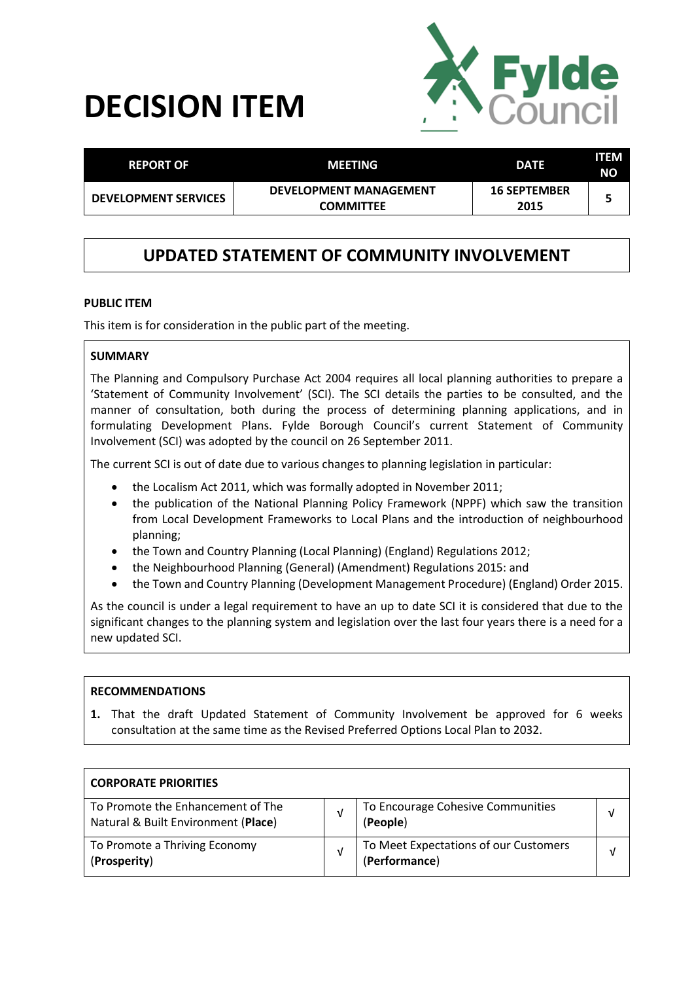# **DECISION ITEM**



| <b>REPORT OF</b>            | <b>MEETING</b>                                    | <b>DATE</b>                 | ITEM<br><b>NO</b> |
|-----------------------------|---------------------------------------------------|-----------------------------|-------------------|
| <b>DEVELOPMENT SERVICES</b> | <b>DEVELOPMENT MANAGEMENT</b><br><b>COMMITTEE</b> | <b>16 SEPTEMBER</b><br>2015 |                   |

# **UPDATED STATEMENT OF COMMUNITY INVOLVEMENT**

#### **PUBLIC ITEM**

This item is for consideration in the public part of the meeting.

#### **SUMMARY**

The Planning and Compulsory Purchase Act 2004 requires all local planning authorities to prepare a 'Statement of Community Involvement' (SCI). The SCI details the parties to be consulted, and the manner of consultation, both during the process of determining planning applications, and in formulating Development Plans. Fylde Borough Council's current Statement of Community Involvement (SCI) was adopted by the council on 26 September 2011.

The current SCI is out of date due to various changes to planning legislation in particular:

- the Localism Act 2011, which was formally adopted in November 2011;
- the publication of the National Planning Policy Framework (NPPF) which saw the transition from Local Development Frameworks to Local Plans and the introduction of neighbourhood planning;
- the Town and Country Planning (Local Planning) (England) Regulations 2012;
- the Neighbourhood Planning (General) (Amendment) Regulations 2015: and
- the Town and Country Planning (Development Management Procedure) (England) Order 2015.

As the council is under a legal requirement to have an up to date SCI it is considered that due to the significant changes to the planning system and legislation over the last four years there is a need for a new updated SCI.

#### **RECOMMENDATIONS**

**1.** That the draft Updated Statement of Community Involvement be approved for 6 weeks consultation at the same time as the Revised Preferred Options Local Plan to 2032.

| <b>CORPORATE PRIORITIES</b>                                              |                                                        |   |
|--------------------------------------------------------------------------|--------------------------------------------------------|---|
| To Promote the Enhancement of The<br>Natural & Built Environment (Place) | To Encourage Cohesive Communities<br>(People)          | V |
| To Promote a Thriving Economy<br>(Prosperity)                            | To Meet Expectations of our Customers<br>(Performance) |   |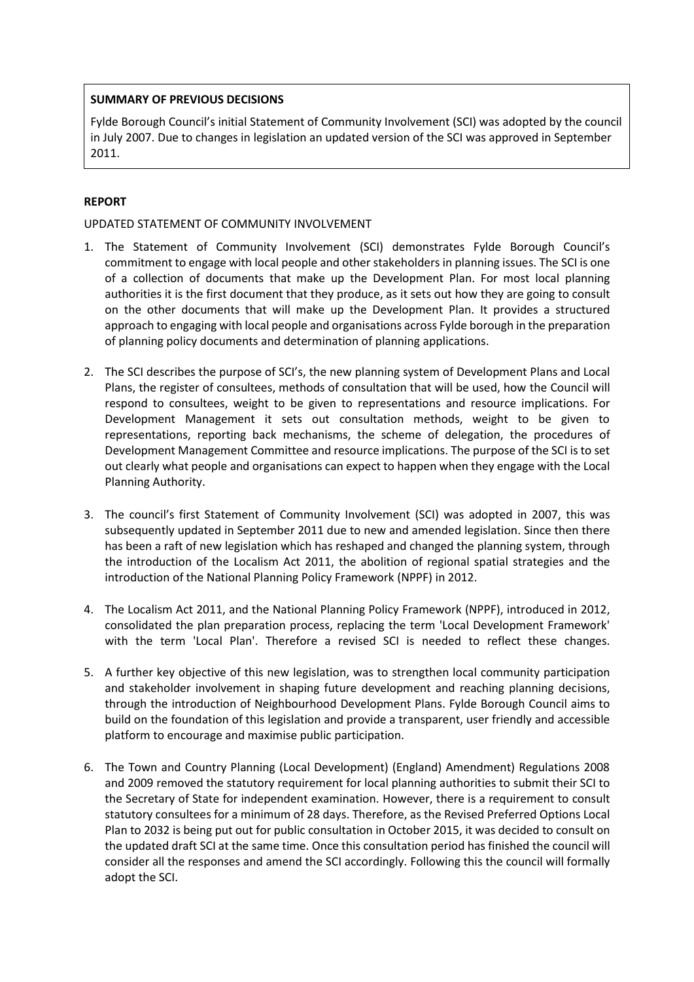## **SUMMARY OF PREVIOUS DECISIONS**

Fylde Borough Council's initial Statement of Community Involvement (SCI) was adopted by the council in July 2007. Due to changes in legislation an updated version of the SCI was approved in September 2011.

# **REPORT**

## UPDATED STATEMENT OF COMMUNITY INVOLVEMENT

- 1. The Statement of Community Involvement (SCI) demonstrates Fylde Borough Council's commitment to engage with local people and other stakeholders in planning issues. The SCI is one of a collection of documents that make up the Development Plan. For most local planning authorities it is the first document that they produce, as it sets out how they are going to consult on the other documents that will make up the Development Plan. It provides a structured approach to engaging with local people and organisations across Fylde borough in the preparation of planning policy documents and determination of planning applications.
- 2. The SCI describes the purpose of SCI's, the new planning system of Development Plans and Local Plans, the register of consultees, methods of consultation that will be used, how the Council will respond to consultees, weight to be given to representations and resource implications. For Development Management it sets out consultation methods, weight to be given to representations, reporting back mechanisms, the scheme of delegation, the procedures of Development Management Committee and resource implications. The purpose of the SCI is to set out clearly what people and organisations can expect to happen when they engage with the Local Planning Authority.
- 3. The council's first Statement of Community Involvement (SCI) was adopted in 2007, this was subsequently updated in September 2011 due to new and amended legislation. Since then there has been a raft of new legislation which has reshaped and changed the planning system, through the introduction of the Localism Act 2011, the abolition of regional spatial strategies and the introduction of the National Planning Policy Framework (NPPF) in 2012.
- 4. The Localism Act 2011, and the National Planning Policy Framework (NPPF), introduced in 2012, consolidated the plan preparation process, replacing the term 'Local Development Framework' with the term 'Local Plan'. Therefore a revised SCI is needed to reflect these changes.
- 5. A further key objective of this new legislation, was to strengthen local community participation and stakeholder involvement in shaping future development and reaching planning decisions, through the introduction of Neighbourhood Development Plans. Fylde Borough Council aims to build on the foundation of this legislation and provide a transparent, user friendly and accessible platform to encourage and maximise public participation.
- 6. The Town and Country Planning (Local Development) (England) Amendment) Regulations 2008 and 2009 removed the statutory requirement for local planning authorities to submit their SCI to the Secretary of State for independent examination. However, there is a requirement to consult statutory consultees for a minimum of 28 days. Therefore, as the Revised Preferred Options Local Plan to 2032 is being put out for public consultation in October 2015, it was decided to consult on the updated draft SCI at the same time. Once this consultation period has finished the council will consider all the responses and amend the SCI accordingly. Following this the council will formally adopt the SCI.